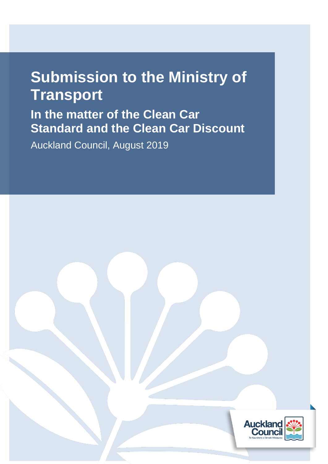# **Submission to the Ministry of Transport**

**In the matter of the Clean Car Standard and the Clean Car Discount**

Auckland Council, August 2019

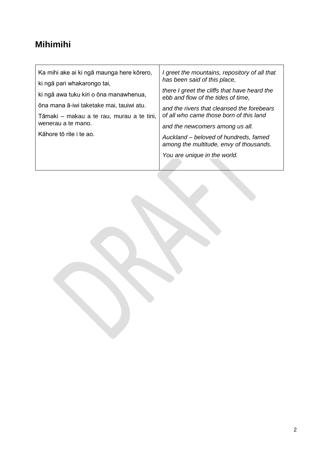## **Mihimihi**

r

| Ka mihi ake ai ki ngā maunga here kōrero, | I greet the mountains, repository of all that<br>has been said of this place,      |
|-------------------------------------------|------------------------------------------------------------------------------------|
| ki ngā pari whakarongo tai,               |                                                                                    |
| ki ngā awa tuku kiri o ōna manawhenua,    | there I greet the cliffs that have heard the<br>ebb and flow of the tides of time, |
| ōna mana ā-iwi taketake mai, tauiwi atu.  | and the rivers that cleansed the forebears                                         |
| Tāmaki – makau a te rau, murau a te tini, | of all who came those born of this land                                            |
| wenerau a te mano.                        | and the newcomers among us all.                                                    |
| Kāhore tō rite i te ao.                   | Auckland – beloved of hundreds, famed<br>among the multitude, envy of thousands.   |
|                                           | You are unique in the world.                                                       |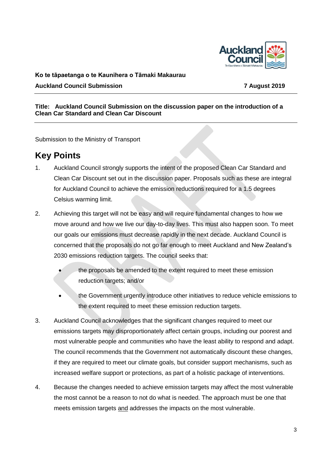

#### **Ko te tāpaetanga o te Kaunihera o Tāmaki Makaurau**

**Auckland Council Submission 7 August 2019**

#### **Title: Auckland Council Submission on the discussion paper on the introduction of a Clean Car Standard and Clean Car Discount**

Submission to the Ministry of Transport

### **Key Points**

- 1. Auckland Council strongly supports the intent of the proposed Clean Car Standard and Clean Car Discount set out in the discussion paper. Proposals such as these are integral for Auckland Council to achieve the emission reductions required for a 1.5 degrees Celsius warming limit.
- 2. Achieving this target will not be easy and will require fundamental changes to how we move around and how we live our day-to-day lives. This must also happen soon. To meet our goals our emissions must decrease rapidly in the next decade. Auckland Council is concerned that the proposals do not go far enough to meet Auckland and New Zealand's 2030 emissions reduction targets. The council seeks that:
	- the proposals be amended to the extent required to meet these emission reduction targets; and/or
	- the Government urgently introduce other initiatives to reduce vehicle emissions to the extent required to meet these emission reduction targets.
- 3. Auckland Council acknowledges that the significant changes required to meet our emissions targets may disproportionately affect certain groups, including our poorest and most vulnerable people and communities who have the least ability to respond and adapt. The council recommends that the Government not automatically discount these changes, if they are required to meet our climate goals, but consider support mechanisms, such as increased welfare support or protections, as part of a holistic package of interventions.
- 4. Because the changes needed to achieve emission targets may affect the most vulnerable the most cannot be a reason to not do what is needed. The approach must be one that meets emission targets and addresses the impacts on the most vulnerable.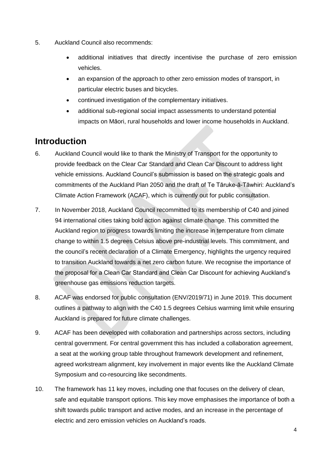- 5. Auckland Council also recommends:
	- additional initiatives that directly incentivise the purchase of zero emission vehicles.
	- an expansion of the approach to other zero emission modes of transport, in particular electric buses and bicycles.
	- continued investigation of the complementary initiatives.
	- additional sub-regional social impact assessments to understand potential impacts on Māori, rural households and lower income households in Auckland.

### **Introduction**

- 6. Auckland Council would like to thank the Ministry of Transport for the opportunity to provide feedback on the Clear Car Standard and Clean Car Discount to address light vehicle emissions. Auckland Council's submission is based on the strategic goals and commitments of the Auckland Plan 2050 and the draft of Te Tāruke-ā-Tāwhiri: Auckland's Climate Action Framework (ACAF), which is currently out for public consultation.
- 7. In November 2018, Auckland Council recommitted to its membership of C40 and joined 94 international cities taking bold action against climate change. This committed the Auckland region to progress towards limiting the increase in temperature from climate change to within 1.5 degrees Celsius above pre-industrial levels. This commitment, and the council's recent declaration of a Climate Emergency, highlights the urgency required to transition Auckland towards a net zero carbon future. We recognise the importance of the proposal for a Clean Car Standard and Clean Car Discount for achieving Auckland's greenhouse gas emissions reduction targets.
- 8. ACAF was endorsed for public consultation (ENV/2019/71) in June 2019. This document outlines a pathway to align with the C40 1.5 degrees Celsius warming limit while ensuring Auckland is prepared for future climate challenges.
- 9. ACAF has been developed with collaboration and partnerships across sectors, including central government. For central government this has included a collaboration agreement, a seat at the working group table throughout framework development and refinement, agreed workstream alignment, key involvement in major events like the Auckland Climate Symposium and co-resourcing like secondments.
- 10. The framework has 11 key moves, including one that focuses on the delivery of clean, safe and equitable transport options. This key move emphasises the importance of both a shift towards public transport and active modes, and an increase in the percentage of electric and zero emission vehicles on Auckland's roads.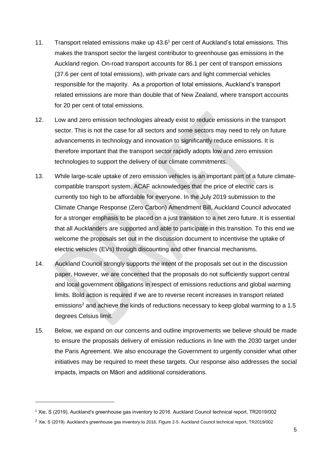- 11. Transport related emissions make up 43.6<sup>1</sup> per cent of Auckland's total emissions. This makes the transport sector the largest contributor to greenhouse gas emissions in the Auckland region. On-road transport accounts for 86.1 per cent of transport emissions (37.6 per cent of total emissions), with private cars and light commercial vehicles responsible for the majority. As a proportion of total emissions, Auckland's transport related emissions are more than double that of New Zealand, where transport accounts for 20 per cent of total emissions.
- 12. Low and zero emission technologies already exist to reduce emissions in the transport sector. This is not the case for all sectors and some sectors may need to rely on future advancements in technology and innovation to significantly reduce emissions. It is therefore important that the transport sector rapidly adopts low and zero emission technologies to support the delivery of our climate commitments.
- 13. While large-scale uptake of zero emission vehicles is an important part of a future climatecompatible transport system, ACAF acknowledges that the price of electric cars is currently too high to be affordable for everyone. In the July 2019 submission to the Climate Change Response (Zero Carbon) Amendment Bill, Auckland Council advocated for a stronger emphasis to be placed on a just transition to a net zero future. It is essential that all Aucklanders are supported and able to participate in this transition. To this end we welcome the proposals set out in the discussion document to incentivise the uptake of electric vehicles (EVs) through discounting and other financial mechanisms.
- 14. Auckland Council strongly supports the intent of the proposals set out in the discussion paper. However, we are concerned that the proposals do not sufficiently support central and local government obligations in respect of emissions reductions and global warming limits. Bold action is required if we are to reverse recent increases in transport related emissions<sup>2</sup> and achieve the kinds of reductions necessary to keep global warming to a 1.5 degrees Celsius limit.
- 15. Below, we expand on our concerns and outline improvements we believe should be made to ensure the proposals delivery of emission reductions in line with the 2030 target under the Paris Agreement. We also encourage the Government to urgently consider what other initiatives may be required to meet these targets. Our response also addresses the social impacts, impacts on Māori and additional considerations.

<sup>1</sup> Xie, S (2019). Auckland's greenhouse gas inventory to 2016. Auckland Council technical report, TR2019/002

 $2$  Xie, S (2019). Auckland's greenhouse gas inventory to 2016, Figure 2-5. Auckland Council technical report, TR2019/002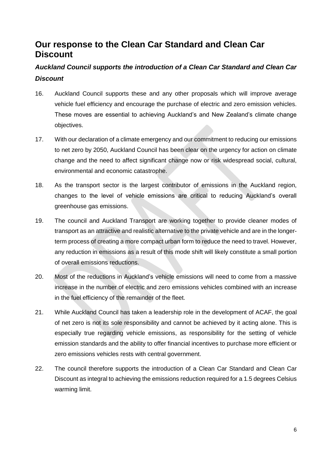### **Our response to the Clean Car Standard and Clean Car Discount**

### *Auckland Council supports the introduction of a Clean Car Standard and Clean Car Discount*

- 16. Auckland Council supports these and any other proposals which will improve average vehicle fuel efficiency and encourage the purchase of electric and zero emission vehicles. These moves are essential to achieving Auckland's and New Zealand's climate change objectives.
- 17. With our declaration of a climate emergency and our commitment to reducing our emissions to net zero by 2050, Auckland Council has been clear on the urgency for action on climate change and the need to affect significant change now or risk widespread social, cultural, environmental and economic catastrophe.
- 18. As the transport sector is the largest contributor of emissions in the Auckland region, changes to the level of vehicle emissions are critical to reducing Auckland's overall greenhouse gas emissions.
- 19. The council and Auckland Transport are working together to provide cleaner modes of transport as an attractive and realistic alternative to the private vehicle and are in the longerterm process of creating a more compact urban form to reduce the need to travel. However, any reduction in emissions as a result of this mode shift will likely constitute a small portion of overall emissions reductions.
- 20. Most of the reductions in Auckland's vehicle emissions will need to come from a massive increase in the number of electric and zero emissions vehicles combined with an increase in the fuel efficiency of the remainder of the fleet.
- 21. While Auckland Council has taken a leadership role in the development of ACAF, the goal of net zero is not its sole responsibility and cannot be achieved by it acting alone. This is especially true regarding vehicle emissions, as responsibility for the setting of vehicle emission standards and the ability to offer financial incentives to purchase more efficient or zero emissions vehicles rests with central government.
- 22. The council therefore supports the introduction of a Clean Car Standard and Clean Car Discount as integral to achieving the emissions reduction required for a 1.5 degrees Celsius warming limit.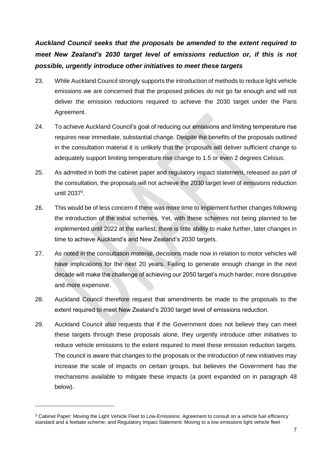*Auckland Council seeks that the proposals be amended to the extent required to meet New Zealand's 2030 target level of emissions reduction or, if this is not possible, urgently introduce other initiatives to meet these targets*

- 23. While Auckland Council strongly supports the introduction of methods to reduce light vehicle emissions we are concerned that the proposed policies do not go far enough and will not deliver the emission reductions required to achieve the 2030 target under the Paris Agreement.
- 24. To achieve Auckland Council's goal of reducing our emissions and limiting temperature rise requires near immediate, substantial change. Despite the benefits of the proposals outlined in the consultation material it is unlikely that the proposals will deliver sufficient change to adequately support limiting temperature rise change to 1.5 or even 2 degrees Celsius.
- 25. As admitted in both the cabinet paper and regulatory impact statement, released as part of the consultation, the proposals will not achieve the 2030 target level of emissions reduction until 2037<sup>3</sup>.
- 26. This would be of less concern if there was more time to implement further changes following the introduction of the initial schemes. Yet, with these schemes not being planned to be implemented until 2022 at the earliest, there is little ability to make further, later changes in time to achieve Auckland's and New Zealand's 2030 targets.
- 27. As noted in the consultation material, decisions made now in relation to motor vehicles will have implications for the next 20 years. Failing to generate enough change in the next decade will make the challenge of achieving our 2050 target's much harder, more disruptive and more expensive.
- 28. Auckland Council therefore request that amendments be made to the proposals to the extent required to meet New Zealand's 2030 target level of emissions reduction.
- 29. Auckland Council also requests that if the Government does not believe they can meet these targets through these proposals alone, they urgently introduce other initiatives to reduce vehicle emissions to the extent required to meet these emission reduction targets. The council is aware that changes to the proposals or the introduction of new initiatives may increase the scale of impacts on certain groups, but believes the Government has the mechanisms available to mitigate these impacts (a point expanded on in paragraph 48 below).

<sup>&</sup>lt;sup>3</sup> Cabinet Paper: Moving the Light Vehicle Fleet to Low-Emissions: Agreement to consult on a vehicle fuel efficiency standard and a feebate scheme; and Regulatory Impact Statement: Moving to a low emissions light vehicle fleet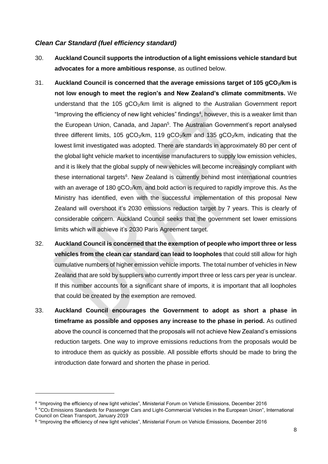#### *Clean Car Standard (fuel efficiency standard)*

- 30. **Auckland Council supports the introduction of a light emissions vehicle standard but advocates for a more ambitious response**, as outlined below.
- 31. **Auckland Council is concerned that the average emissions target of 105 gCO2/km is not low enough to meet the region's and New Zealand's climate commitments.** We understand that the 105  $qCO<sub>2</sub>/km$  limit is aligned to the Australian Government report "Improving the efficiency of new light vehicles" findings<sup>4</sup>, however, this is a weaker limit than the European Union, Canada, and Japan<sup>5</sup>. The Australian Government's report analysed three different limits, 105  $gCO<sub>2</sub>/km$ , 119  $gCO<sub>2</sub>/km$  and 135  $gCO<sub>2</sub>/km$ , indicating that the lowest limit investigated was adopted. There are standards in approximately 80 per cent of the global light vehicle market to incentivise manufacturers to supply low emission vehicles, and it is likely that the global supply of new vehicles will become increasingly compliant with these international targets<sup>6</sup>. New Zealand is currently behind most international countries with an average of 180 gCO<sub>2</sub>/km, and bold action is required to rapidly improve this. As the Ministry has identified, even with the successful implementation of this proposal New Zealand will overshoot it's 2030 emissions reduction target by 7 years. This is clearly of considerable concern. Auckland Council seeks that the government set lower emissions limits which will achieve it's 2030 Paris Agreement target.
- 32. **Auckland Council is concerned that the exemption of people who import three or less vehicles from the clean car standard can lead to loopholes** that could still allow for high cumulative numbers of higher emission vehicle imports. The total number of vehicles in New Zealand that are sold by suppliers who currently import three or less cars per year is unclear. If this number accounts for a significant share of imports, it is important that all loopholes that could be created by the exemption are removed.
- 33. **Auckland Council encourages the Government to adopt as short a phase in timeframe as possible and opposes any increase to the phase in period.** As outlined above the council is concerned that the proposals will not achieve New Zealand's emissions reduction targets. One way to improve emissions reductions from the proposals would be to introduce them as quickly as possible. All possible efforts should be made to bring the introduction date forward and shorten the phase in period.

<sup>4</sup> "Improving the efficiency of new light vehicles", Ministerial Forum on Vehicle Emissions, December 2016

<sup>5</sup> "CO2 Emissions Standards for Passenger Cars and Light-Commercial Vehicles in the European Union", International Council on Clean Transport, January 2019

 $^6$  "Improving the efficiency of new light vehicles", Ministerial Forum on Vehicle Emissions, December 2016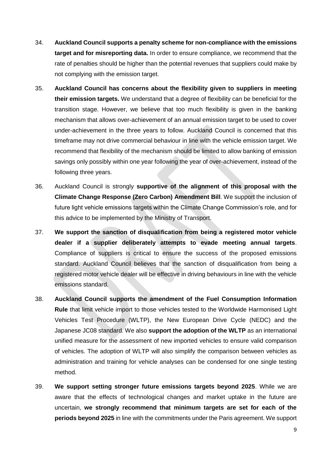- 34. **Auckland Council supports a penalty scheme for non-compliance with the emissions target and for misreporting data.** In order to ensure compliance, we recommend that the rate of penalties should be higher than the potential revenues that suppliers could make by not complying with the emission target.
- 35. **Auckland Council has concerns about the flexibility given to suppliers in meeting their emission targets.** We understand that a degree of flexibility can be beneficial for the transition stage. However, we believe that too much flexibility is given in the banking mechanism that allows over-achievement of an annual emission target to be used to cover under-achievement in the three years to follow. Auckland Council is concerned that this timeframe may not drive commercial behaviour in line with the vehicle emission target. We recommend that flexibility of the mechanism should be limited to allow banking of emission savings only possibly within one year following the year of over-achievement, instead of the following three years.
- 36. Auckland Council is strongly **supportive of the alignment of this proposal with the Climate Change Response (Zero Carbon) Amendment Bill**. We support the inclusion of future light vehicle emissions targets within the Climate Change Commission's role, and for this advice to be implemented by the Ministry of Transport.
- 37. **We support the sanction of disqualification from being a registered motor vehicle dealer if a supplier deliberately attempts to evade meeting annual targets**. Compliance of suppliers is critical to ensure the success of the proposed emissions standard. Auckland Council believes that the sanction of disqualification from being a registered motor vehicle dealer will be effective in driving behaviours in line with the vehicle emissions standard.
- 38. **Auckland Council supports the amendment of the Fuel Consumption Information Rule** that limit vehicle import to those vehicles tested to the Worldwide Harmonised Light Vehicles Test Procedure (WLTP), the New European Drive Cycle (NEDC) and the Japanese JC08 standard. We also **support the adoption of the WLTP** as an international unified measure for the assessment of new imported vehicles to ensure valid comparison of vehicles. The adoption of WLTP will also simplify the comparison between vehicles as administration and training for vehicle analyses can be condensed for one single testing method.
- 39. **We support setting stronger future emissions targets beyond 2025**. While we are aware that the effects of technological changes and market uptake in the future are uncertain, **we strongly recommend that minimum targets are set for each of the periods beyond 2025** in line with the commitments under the Paris agreement. We support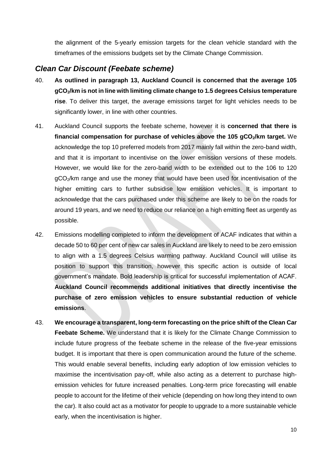the alignment of the 5-yearly emission targets for the clean vehicle standard with the timeframes of the emissions budgets set by the Climate Change Commission.

#### *Clean Car Discount (Feebate scheme)*

- 40. **As outlined in paragraph 13, Auckland Council is concerned that the average 105 gCO2/km is not in line with limiting climate change to 1.5 degrees Celsius temperature rise**. To deliver this target, the average emissions target for light vehicles needs to be significantly lower, in line with other countries.
- 41. Auckland Council supports the feebate scheme, however it is **concerned that there is financial compensation for purchase of vehicles above the 105 gCO2/km target.** We acknowledge the top 10 preferred models from 2017 mainly fall within the zero-band width, and that it is important to incentivise on the lower emission versions of these models. However, we would like for the zero-band width to be extended out to the 106 to 120 gCO<sub>2</sub>/km range and use the money that would have been used for incentivisation of the higher emitting cars to further subsidise low emission vehicles. It is important to acknowledge that the cars purchased under this scheme are likely to be on the roads for around 19 years, and we need to reduce our reliance on a high emitting fleet as urgently as possible.
- 42. Emissions modelling completed to inform the development of ACAF indicates that within a decade 50 to 60 per cent of new car sales in Auckland are likely to need to be zero emission to align with a 1.5 degrees Celsius warming pathway. Auckland Council will utilise its position to support this transition, however this specific action is outside of local government's mandate. Bold leadership is critical for successful implementation of ACAF. **Auckland Council recommends additional initiatives that directly incentivise the purchase of zero emission vehicles to ensure substantial reduction of vehicle emissions**.
- 43. **We encourage a transparent, long-term forecasting on the price shift of the Clean Car Feebate Scheme.** We understand that it is likely for the Climate Change Commission to include future progress of the feebate scheme in the release of the five-year emissions budget. It is important that there is open communication around the future of the scheme. This would enable several benefits, including early adoption of low emission vehicles to maximise the incentivisation pay-off, while also acting as a deterrent to purchase highemission vehicles for future increased penalties. Long-term price forecasting will enable people to account for the lifetime of their vehicle (depending on how long they intend to own the car). It also could act as a motivator for people to upgrade to a more sustainable vehicle early, when the incentivisation is higher.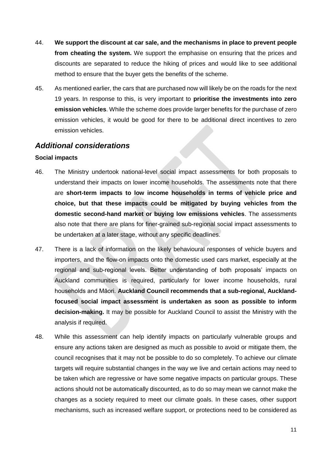- 44. **We support the discount at car sale, and the mechanisms in place to prevent people from cheating the system.** We support the emphasise on ensuring that the prices and discounts are separated to reduce the hiking of prices and would like to see additional method to ensure that the buver gets the benefits of the scheme.
- 45. As mentioned earlier, the cars that are purchased now will likely be on the roads for the next 19 years. In response to this, is very important to **prioritise the investments into zero emission vehicles**. While the scheme does provide larger benefits for the purchase of zero emission vehicles, it would be good for there to be additional direct incentives to zero emission vehicles.

#### *Additional considerations*

#### **Social impacts**

- 46. The Ministry undertook national-level social impact assessments for both proposals to understand their impacts on lower income households. The assessments note that there are **short-term impacts to low income households in terms of vehicle price and choice, but that these impacts could be mitigated by buying vehicles from the domestic second-hand market or buying low emissions vehicles**. The assessments also note that there are plans for finer-grained sub-regional social impact assessments to be undertaken at a later stage, without any specific deadlines.
- 47. There is a lack of information on the likely behavioural responses of vehicle buyers and importers, and the flow-on impacts onto the domestic used cars market, especially at the regional and sub-regional levels. Better understanding of both proposals' impacts on Auckland communities is required, particularly for lower income households, rural households and Māori. **Auckland Council recommends that a sub-regional, Aucklandfocused social impact assessment is undertaken as soon as possible to inform decision-making.** It may be possible for Auckland Council to assist the Ministry with the analysis if required.
- 48. While this assessment can help identify impacts on particularly vulnerable groups and ensure any actions taken are designed as much as possible to avoid or mitigate them, the council recognises that it may not be possible to do so completely. To achieve our climate targets will require substantial changes in the way we live and certain actions may need to be taken which are regressive or have some negative impacts on particular groups. These actions should not be automatically discounted, as to do so may mean we cannot make the changes as a society required to meet our climate goals. In these cases, other support mechanisms, such as increased welfare support, or protections need to be considered as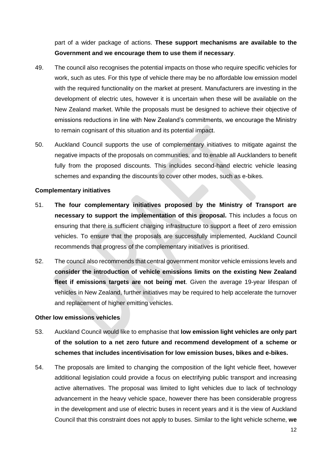part of a wider package of actions. **These support mechanisms are available to the Government and we encourage them to use them if necessary**.

- 49. The council also recognises the potential impacts on those who require specific vehicles for work, such as utes. For this type of vehicle there may be no affordable low emission model with the required functionality on the market at present. Manufacturers are investing in the development of electric utes, however it is uncertain when these will be available on the New Zealand market. While the proposals must be designed to achieve their objective of emissions reductions in line with New Zealand's commitments, we encourage the Ministry to remain cognisant of this situation and its potential impact.
- 50. Auckland Council supports the use of complementary initiatives to mitigate against the negative impacts of the proposals on communities, and to enable all Aucklanders to benefit fully from the proposed discounts. This includes second-hand electric vehicle leasing schemes and expanding the discounts to cover other modes, such as e-bikes.

#### **Complementary initiatives**

- 51. **The four complementary initiatives proposed by the Ministry of Transport are necessary to support the implementation of this proposal.** This includes a focus on ensuring that there is sufficient charging infrastructure to support a fleet of zero emission vehicles. To ensure that the proposals are successfully implemented, Auckland Council recommends that progress of the complementary initiatives is prioritised.
- 52. The council also recommends that central government monitor vehicle emissions levels and **consider the introduction of vehicle emissions limits on the existing New Zealand fleet if emissions targets are not being met**. Given the average 19-year lifespan of vehicles in New Zealand, further initiatives may be required to help accelerate the turnover and replacement of higher emitting vehicles.

#### **Other low emissions vehicles**

- 53. Auckland Council would like to emphasise that **low emission light vehicles are only part of the solution to a net zero future and recommend development of a scheme or schemes that includes incentivisation for low emission buses, bikes and e-bikes.**
- 54. The proposals are limited to changing the composition of the light vehicle fleet, however additional legislation could provide a focus on electrifying public transport and increasing active alternatives. The proposal was limited to light vehicles due to lack of technology advancement in the heavy vehicle space, however there has been considerable progress in the development and use of electric buses in recent years and it is the view of Auckland Council that this constraint does not apply to buses. Similar to the light vehicle scheme, **we**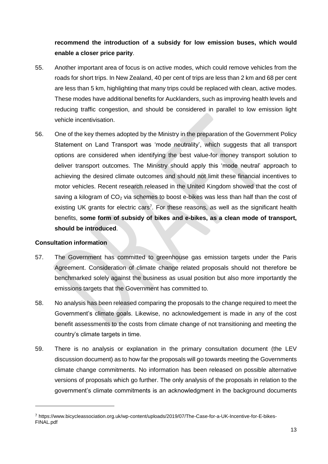### **recommend the introduction of a subsidy for low emission buses, which would enable a closer price parity**.

- 55. Another important area of focus is on active modes, which could remove vehicles from the roads for short trips. In New Zealand, 40 per cent of trips are less than 2 km and 68 per cent are less than 5 km, highlighting that many trips could be replaced with clean, active modes. These modes have additional benefits for Aucklanders, such as improving health levels and reducing traffic congestion, and should be considered in parallel to low emission light vehicle incentivisation.
- 56. One of the key themes adopted by the Ministry in the preparation of the Government Policy Statement on Land Transport was 'mode neutrality', which suggests that all transport options are considered when identifying the best value-for money transport solution to deliver transport outcomes. The Ministry should apply this 'mode neutral' approach to achieving the desired climate outcomes and should not limit these financial incentives to motor vehicles. Recent research released in the United Kingdom showed that the cost of saving a kilogram of  $CO<sub>2</sub>$  via schemes to boost e-bikes was less than half than the cost of existing UK grants for electric cars<sup>7</sup>. For these reasons, as well as the significant health benefits, **some form of subsidy of bikes and e-bikes, as a clean mode of transport, should be introduced**.

#### **Consultation information**

- 57. The Government has committed to greenhouse gas emission targets under the Paris Agreement. Consideration of climate change related proposals should not therefore be benchmarked solely against the business as usual position but also more importantly the emissions targets that the Government has committed to.
- 58. No analysis has been released comparing the proposals to the change required to meet the Government's climate goals. Likewise, no acknowledgement is made in any of the cost benefit assessments to the costs from climate change of not transitioning and meeting the country's climate targets in time.
- 59. There is no analysis or explanation in the primary consultation document (the LEV discussion document) as to how far the proposals will go towards meeting the Governments climate change commitments. No information has been released on possible alternative versions of proposals which go further. The only analysis of the proposals in relation to the government's climate commitments is an acknowledgment in the background documents

<sup>7</sup> https://www.bicycleassociation.org.uk/wp-content/uploads/2019/07/The-Case-for-a-UK-Incentive-for-E-bikes-FINAL.pdf